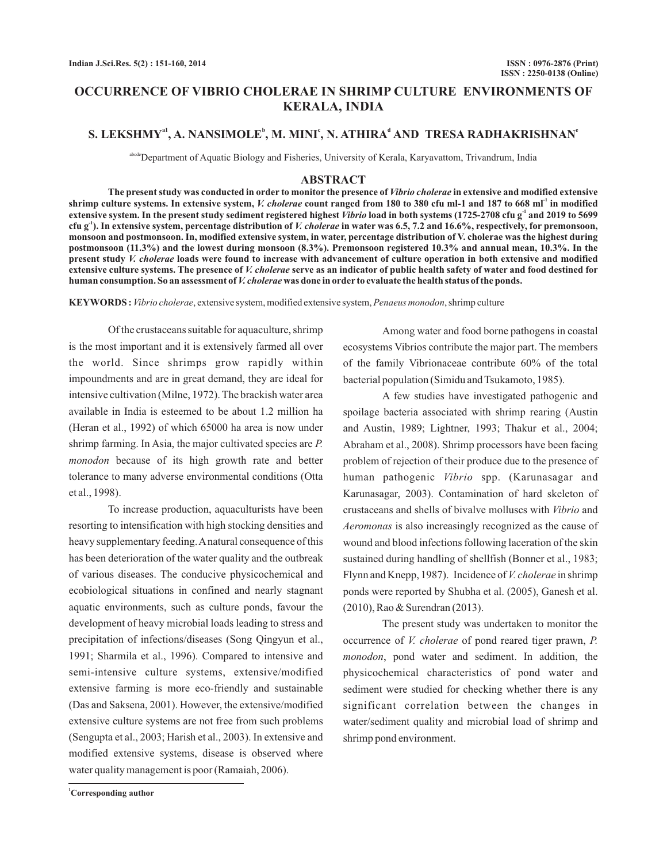# **OCCURRENCE OF VIBRIO CHOLERAE IN SHRIMP CULTURE ENVIRONMENTS OF KERALA, INDIA**

# **S. LEKSHMY<sup>a1</sup>, A. NANSIMOLE<sup>b</sup>, M. MINI<sup>c</sup>, N. ATHIRA<sup>d</sup> AND TRESA RADHAKRISHNAN<sup>e</sup>**

abcdeDepartment of Aquatic Biology and Fisheries, University of Kerala, Karyavattom, Trivandrum, India

## **ABSTRACT**

The present study was conducted in order to monitor the presence of *Vibrio cholerae* in extensive and modified extensive shrimp culture systems. In extensive system, *V. cholerae* count ranged from 180 to 380 cfu ml-1 and 187 to 668 ml<sup>-1</sup> in modified extensive system. In the present study sediment registered highest *Vibrio* load in both systems (1725-2708 cfu g<sup>-1</sup> and 2019 to 5699 cfu g<sup>-1</sup>). In extensive system, percentage distribution of *V. cholerae* in water was 6.5, 7.2 and 16.6%, respectively, for premonsoon, **monsoon and postmonsoon. In, modified extensive system, in water, percentage distribution of V. cholerae was the highest during postmonsoon (11.3%) and the lowest during monsoon (8.3%). Premonsoon registered 10.3% and annual mean, 10.3%. In the** *present study V. cholerae loads were found to increase with advancement of culture operation in both extensive and modified* .<br>extensive culture systems. The presence of *V. cholerae* serve as an indicator of public health safety of water and food destined for human consumption. So an assessment of *V. cholerae* was done in order to evaluate the health status of the ponds.

KEYWORDS: Vibrio cholerae, extensive system, modified extensive system, Penaeus monodon, shrimp culture

Of the crustaceans suitable for aquaculture, shrimp is the most important and it is extensively farmed all over the world. Since shrimps grow rapidly within impoundments and are in great demand, they are ideal for intensive cultivation (Milne, 1972). The brackish water area available in India is esteemed to be about 1.2 million ha (Heran et al., 1992) of which 65000 ha area is now under shrimp farming. In Asia, the major cultivated species are *P.* monodon because of its high growth rate and better tolerance to many adverse environmental conditions (Otta et al., 1998).

To increase production, aquaculturists have been resorting to intensification with high stocking densities and heavy supplementary feeding.Anatural consequence of this has been deterioration of the water quality and the outbreak of various diseases. The conducive physicochemical and ecobiological situations in confined and nearly stagnant aquatic environments, such as culture ponds, favour the development of heavy microbial loads leading to stress and precipitation of infections/diseases (Song Qingyun et al., 1991; Sharmila et al., 1996). Compared to intensive and semi-intensive culture systems, extensive/modified extensive farming is more eco-friendly and sustainable (Das and Saksena, 2001). However, the extensive/modified extensive culture systems are not free from such problems (Sengupta et al., 2003; Harish et al., 2003). In extensive and modified extensive systems, disease is observed where water quality management is poor (Ramaiah, 2006).

Among water and food borne pathogens in coastal ecosystems Vibrios contribute the major part. The members of the family Vibrionaceae contribute 60% of the total bacterial population (Simidu and Tsukamoto, 1985).

A few studies have investigated pathogenic and spoilage bacteria associated with shrimp rearing (Austin and Austin, 1989; Lightner, 1993; Thakur et al., 2004; Abraham et al., 2008). Shrimp processors have been facing problem of rejection of their produce due to the presence of human pathogenic Vibrio spp. (Karunasagar and Karunasagar, 2003). Contamination of hard skeleton of crustaceans and shells of bivalve molluscs with Vibrio and Aeromonas is also increasingly recognized as the cause of wound and blood infections following laceration of the skin sustained during handling of shellfish (Bonner et al., 1983; Flynn and Knepp, 1987). Incidence of *V. cholerae* in shrimp ponds were reported by Shubha et al. (2005), Ganesh et al. (2010), Rao & Surendran (2013).

The present study was undertaken to monitor the occurrence of *V. cholerae* of pond reared tiger prawn, *P.* monodon, pond water and sediment. In addition, the physicochemical characteristics of pond water and sediment were studied for checking whether there is any significant correlation between the changes in water/sediment quality and microbial load of shrimp and shrimp pond environment.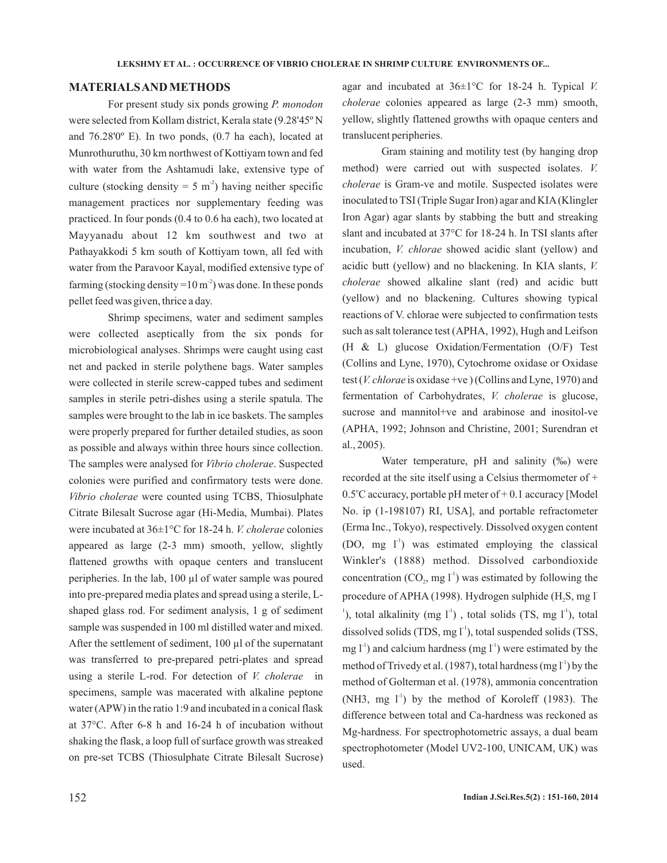#### **MATERIALSAND METHODS**

For present study six ponds growing *P. monodon* were selected from Kollam district, Kerala state (9.28'45º N and 76.28'0º E). In two ponds, (0.7 ha each), located at Munrothuruthu, 30 km northwest of Kottiyam town and fed with water from the Ashtamudi lake, extensive type of culture (stocking density =  $5 \text{ m}^2$ ) having neither specific management practices nor supplementary feeding was practiced. In four ponds (0.4 to 0.6 ha each), two located at Mayyanadu about 12 km southwest and two at Pathayakkodi 5 km south of Kottiyam town, all fed with water from the Paravoor Kayal, modified extensive type of farming (stocking density =  $10 \text{ m}^2$ ) was done. In these ponds pellet feed was given, thrice a day.

Shrimp specimens, water and sediment samples were collected aseptically from the six ponds for microbiological analyses. Shrimps were caught using cast net and packed in sterile polythene bags. Water samples were collected in sterile screw-capped tubes and sediment samples in sterile petri-dishes using a sterile spatula. The samples were brought to the lab in ice baskets. The samples were properly prepared for further detailed studies, as soon as possible and always within three hours since collection. The samples were analysed for Vibrio cholerae. Suspected colonies were purified and confirmatory tests were done. Vibrio cholerae were counted using TCBS, Thiosulphate Citrate Bilesalt Sucrose agar (Hi-Media, Mumbai). Plates were incubated at 36±1°C for 18-24 h. *V. cholerae* colonies appeared as large (2-3 mm) smooth, yellow, slightly flattened growths with opaque centers and translucent peripheries. In the lab, 100 µl of water sample was poured into pre-prepared media plates and spread using a sterile, Lshaped glass rod. For sediment analysis, 1 g of sediment sample was suspended in 100 ml distilled water and mixed. After the settlement of sediment, 100 µl of the supernatant was transferred to pre-prepared petri-plates and spread using a sterile L-rod. For detection of *V. cholerae* in specimens, sample was macerated with alkaline peptone water (APW) in the ratio 1:9 and incubated in a conical flask at 37°C. After 6-8 h and 16-24 h of incubation without shaking the flask, a loop full of surface growth was streaked on pre-set TCBS (Thiosulphate Citrate Bilesalt Sucrose)

agar and incubated at 36±1°C for 18-24 h. Typical *V. cholerae* colonies appeared as large (2-3 mm) smooth, yellow, slightly flattened growths with opaque centers and translucent peripheries.

Gram staining and motility test (by hanging drop method) were carried out with suspected isolates. *V.* cholerae is Gram-ve and motile. Suspected isolates were inoculated to TSI (Triple Sugar Iron) agar and KIA(Klingler Iron Agar) agar slants by stabbing the butt and streaking slant and incubated at 37°C for 18-24 h. In TSI slants after incubation, *V. chlorae* showed acidic slant (yellow) and acidic butt (yellow) and no blackening. In KIA slants, *V.* showed alkaline slant (red) and acidic butt *cholerae* (yellow) and no blackening. Cultures showing typical reactions of V. chlorae were subjected to confirmation tests such as salt tolerance test (APHA, 1992), Hugh and Leifson (H & L) glucose Oxidation/Fermentation (O/F) Test (Collins and Lyne, 1970), Cytochrome oxidase or Oxidase test (*V. chlorae* is oxidase +ve) (Collins and Lyne, 1970) and fermentation of Carbohydrates, V. cholerae is glucose, sucrose and mannitol+ve and arabinose and inositol-ve (APHA, 1992; Johnson and Christine, 2001; Surendran et al., 2005).

Water temperature, pH and salinity (‰) were recorded at the site itself using a Celsius thermometer of +  $0.5^{\circ}$ C accuracy, portable pH meter of  $+0.1$  accuracy [Model No. ip (1-198107) RI, USA], and portable refractometer (Erma Inc., Tokyo), respectively. Dissolved oxygen content (DO, mg  $1^{\text{-}}$ ) was estimated employing the classical Winkler's (1888) method. Dissolved carbondioxide concentration (CO<sub>2</sub>, mg  $1<sup>-1</sup>$ ) was estimated by following the procedure of APHA (1998). Hydrogen sulphide (H<sub>2</sub>S, mg l  $\alpha$ <sup>1</sup>), total alkalinity (mg  $1$ <sup>1</sup>), total solids (TS, mg  $1$ <sup>1</sup>), total dissolved solids (TDS, mg  $I<sup>-1</sup>$ ), total suspended solids (TSS, mg  $1^{-1}$ ) and calcium hardness (mg  $1^{-1}$ ) were estimated by the method of Trivedy et al. (1987), total hardness (mg  $I<sup>-1</sup>$ ) by the method of Golterman et al. (1978), ammonia concentration (NH3, mg  $1<sup>-1</sup>$ ) by the method of Koroleff (1983). The difference between total and Ca-hardness was reckoned as Mg-hardness. For spectrophotometric assays, a dual beam spectrophotometer (Model UV2-100, UNICAM, UK) was used.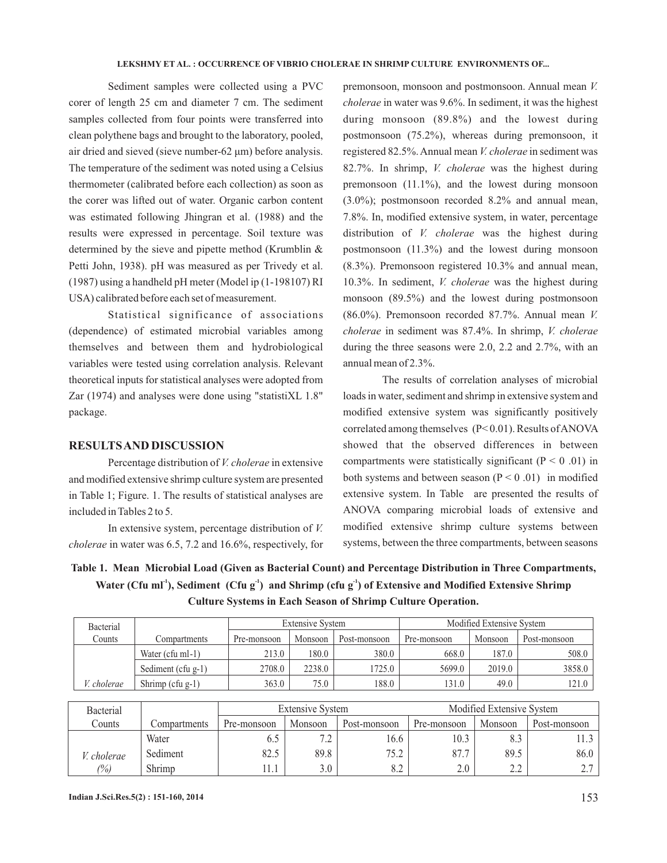air dried and sieved (sieve number-62 μm) before analysis. The temperature of the sediment was noted using a Celsius thermometer (calibrated before each collection) as soon as the corer was lifted out of water. Organic carbon content was estimated following Jhingran et al. (1988) and the results were expressed in percentage. Soil texture was determined by the sieve and pipette method (Krumblin & Petti John, 1938). pH was measured as per Trivedy et al. (1987) using a handheld pH meter (Model ip (1-198107) RI USA) calibrated before each set of measurement. Sediment samples were collected using a PVC corer of length 25 cm and diameter 7 cm. The sediment samples collected from four points were transferred into clean polythene bags and brought to the laboratory, pooled,

Statistical significance of associations (dependence) of estimated microbial variables among themselves and between them and hydrobiological variables were tested using correlation analysis. Relevant theoretical inputs for statistical analyses were adopted from Zar (1974) and analyses were done using "statistiXL 1.8" package.

### **RESULTSAND DISCUSSION**

Percentage distribution of *V. cholerae* in extensive and modified extensive shrimp culture system are presented in Table 1; Figure. 1. The results of statistical analyses are included in Tables 2 to 5.

In extensive system, percentage distribution of *V.* cholerae in water was 6.5, 7.2 and 16.6%, respectively, for

premonsoon, monsoon and postmonsoon. Annual mean *V.* cholerae in water was 9.6%. In sediment, it was the highest during monsoon (89.8%) and the lowest during postmonsoon (75.2%), whereas during premonsoon, it registered 82.5%. Annual mean V. cholerae in sediment was 82.7%. In shrimp, *V. cholerae* was the highest during premonsoon (11.1%), and the lowest during monsoon (3.0%); postmonsoon recorded 8.2% and annual mean, 7.8%. In, modified extensive system, in water, percentage distribution of *V. cholerae* was the highest during postmonsoon (11.3%) and the lowest during monsoon (8.3%). Premonsoon registered 10.3% and annual mean, 10.3%. In sediment, *V. cholerae* was the highest during monsoon (89.5%) and the lowest during postmonsoon (86.0%). Premonsoon recorded 87.7%. Annual mean *V.* cholerae in sediment was 87.4%. In shrimp, *V. cholerae* during the three seasons were 2.0, 2.2 and 2.7%, with an annual mean of 2.3%.

The results of correlation analyses of microbial loads in water, sediment and shrimp in extensive system and modified extensive system was significantly positively correlated among themselves (P< 0.01). Results ofANOVA showed that the observed differences in between compartments were statistically significant ( $P < 0.01$ ) in both systems and between season  $(P < 0.01)$  in modified extensive system. In Table are presented the results of ANOVA comparing microbial loads of extensive and modified extensive shrimp culture systems between systems, between the three compartments, between seasons

**Table 1. Mean Microbial Load (Given as Bacterial Count) and Percentage Distribution in Three Compartments,** Water (Cfu ml<sup>-1</sup>), Sediment (Cfu g<sup>-1</sup>) and Shrimp (cfu g<sup>-1</sup>) of Extensive and Modified Extensive Shrimp **Culture Systems in Each Season of Shrimp Culture Operation.**

| Bacterial   |                                        |        | <b>Extensive System</b> |                        | Modified Extensive System |              |        |
|-------------|----------------------------------------|--------|-------------------------|------------------------|---------------------------|--------------|--------|
| Counts      | Monsoon<br>Pre-monsoon<br>Compartments |        | Post-monsoon            | Monsoon<br>Pre-monsoon |                           | Post-monsoon |        |
|             | Water (cfu ml-1)                       | 213.0  | 180.0                   | 380.0                  | 668.0                     | 187.0        | 508.0  |
|             | Sediment (cfu $g-1$ )                  | 2708.0 | 2238.0                  | 1725.0                 | 5699.0                    | 2019.0       | 3858.0 |
| V. cholerae | Shrimp $(cfu g-1)$                     | 363.0  | 75.0                    | 188.0                  | 131.0                     | 49.0         | 121.0  |

| Bacterial      |              | <b>Extensive System</b> |         |              | Modified Extensive System |                 |                 |  |
|----------------|--------------|-------------------------|---------|--------------|---------------------------|-----------------|-----------------|--|
| Counts         | Compartments | Pre-monsoon             | Monsoon | Post-monsoon | Pre-monsoon               | Monsoon         | Post-monsoon    |  |
|                | Water        | 0.3                     | 7.2     | 16.6         | 10.3                      | o. .            |                 |  |
| V. cholerae    | Sediment     | 82.5                    | 89.8    | 75.2         | 87.7                      | 89.5            | 86.0            |  |
| $\frac{10}{6}$ | Shrimp       | l1.1                    | 3.0     | 8.2          | 2.0                       | $\Omega$<br>∠.∠ | $\gamma$ $\tau$ |  |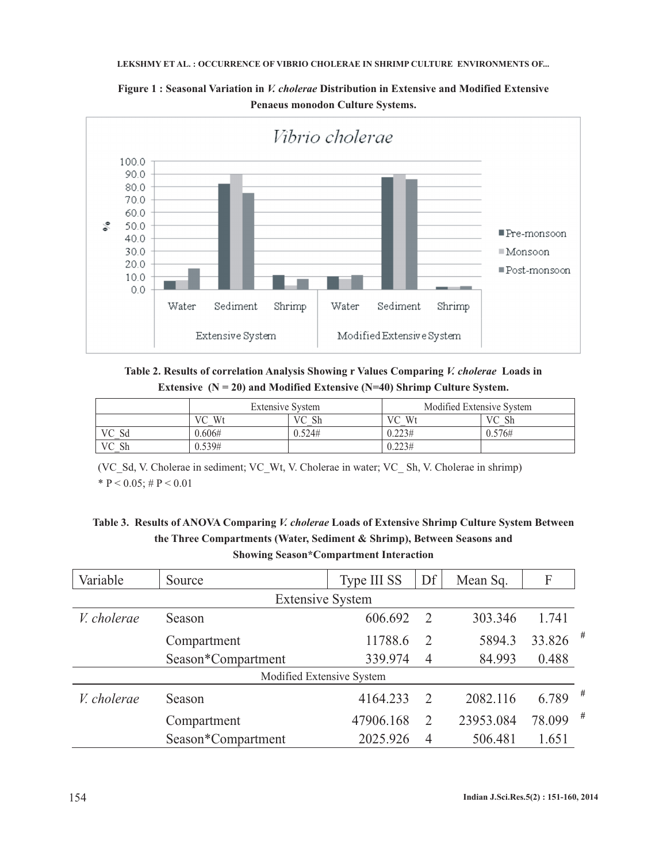#### LEKSHMY ET AL. : OCCURRENCE OF VIBRIO CHOLERAE IN SHRIMP CULTURE ENVIRONMENTS OF...

Figure 1: Seasonal Variation in *V. cholerae* Distribution in Extensive and Modified Extensive **Penaeus monodon Culture Systems.**



Table 2. Results of correlation Analysis Showing r Values Comparing V. cholerae Loads in **Extensive (N = 20) and Modified Extensive (N=40) Shrimp Culture System.**

|           | <b>Extensive System</b> |          | Modified Extensive System |           |  |
|-----------|-------------------------|----------|---------------------------|-----------|--|
|           | Wt<br>VС                | VС<br>Sh | VС<br>W <sub>1</sub>      | Sh<br>VC. |  |
| VC<br>∍⊍∪ | 0.606#                  | 0.524#   | 0.223#                    | 0.576#    |  |
| VC Sh     | 0.539#                  |          | 0.223#                    |           |  |

(VC\_Sd, V. Cholerae in sediment; VC\_Wt, V. Cholerae in water; VC\_ Sh, V. Cholerae in shrimp) \*  $P < 0.05$ ; #  $P < 0.01$ 

# Table 3. Results of ANOVA Comparing *V. cholerae* Loads of Extensive Shrimp Culture System Between **the Three Compartments (Water, Sediment & Shrimp), Between Seasons and Showing Season\*Compartment Interaction**

| Variable                  | Source             | Type III SS | Df             | Mean Sq.  | F      |   |  |
|---------------------------|--------------------|-------------|----------------|-----------|--------|---|--|
| <b>Extensive System</b>   |                    |             |                |           |        |   |  |
| V. cholerae               | Season             | 606.692     | 2              | 303.346   | 1.741  |   |  |
|                           | Compartment        | 11788.6     | 2              | 5894.3    | 33.826 | # |  |
|                           | Season*Compartment | 339.974     | $\overline{4}$ | 84.993    | 0.488  |   |  |
| Modified Extensive System |                    |             |                |           |        |   |  |
| V. cholerae               | Season             | 4164.233    | 2              | 2082.116  | 6.789  | # |  |
|                           | Compartment        | 47906.168   | 2              | 23953.084 | 78.099 | # |  |
|                           | Season*Compartment | 2025.926    | 4              | 506.481   | 1.651  |   |  |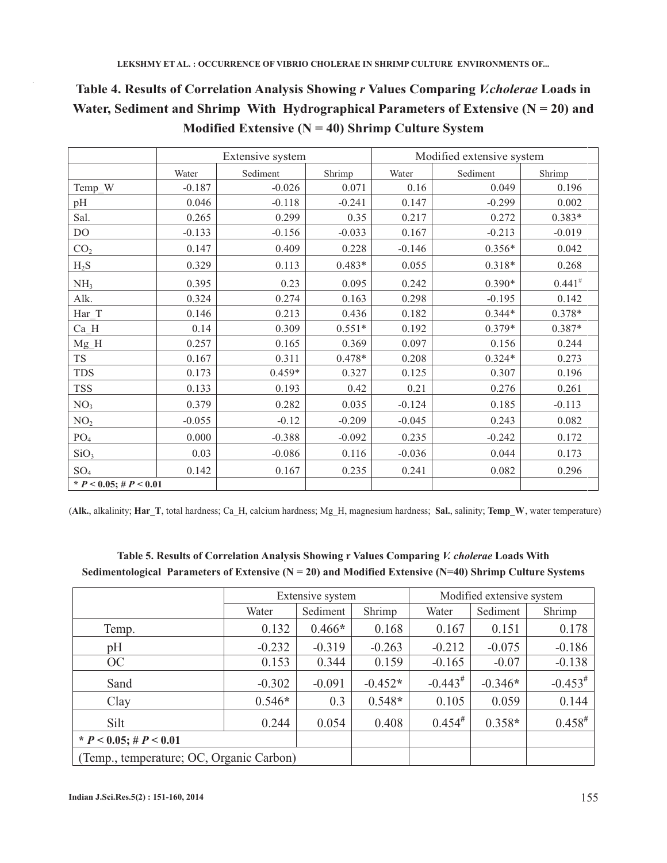# Table 4. Results of Correlation Analysis Showing r Values Comparing *V.cholerae* Loads in Water, Sediment and Shrimp With Hydrographical Parameters of Extensive  $(N = 20)$  and **Modified Extensive (N = 40) Shrimp Culture System**

|                             |          | Extensive system |          | Modified extensive system |          |             |  |
|-----------------------------|----------|------------------|----------|---------------------------|----------|-------------|--|
|                             | Water    | Sediment         | Shrimp   | Water                     | Sediment | Shrimp      |  |
| Temp_W                      | $-0.187$ | $-0.026$         | 0.071    | 0.16                      | 0.049    | 0.196       |  |
| pH                          | 0.046    | $-0.118$         | $-0.241$ | 0.147                     | $-0.299$ | 0.002       |  |
| Sal.                        | 0.265    | 0.299            | 0.35     | 0.217                     | 0.272    | $0.383*$    |  |
| DO                          | $-0.133$ | $-0.156$         | $-0.033$ | 0.167                     | $-0.213$ | $-0.019$    |  |
| CO <sub>2</sub>             | 0.147    | 0.409            | 0.228    | $-0.146$                  | $0.356*$ | 0.042       |  |
| $H_2S$                      | 0.329    | 0.113            | $0.483*$ | 0.055                     | $0.318*$ | 0.268       |  |
| NH <sub>3</sub>             | 0.395    | 0.23             | 0.095    | 0.242                     | $0.390*$ | $0.441^{#}$ |  |
| Alk.                        | 0.324    | 0.274            | 0.163    | 0.298                     | $-0.195$ | 0.142       |  |
| Har T                       | 0.146    | 0.213            | 0.436    | 0.182                     | $0.344*$ | $0.378*$    |  |
| Ca H                        | 0.14     | 0.309            | $0.551*$ | 0.192                     | $0.379*$ | $0.387*$    |  |
| $Mg$ <sup>H</sup>           | 0.257    | 0.165            | 0.369    | 0.097                     | 0.156    | 0.244       |  |
| ${\rm TS}$                  | 0.167    | 0.311            | $0.478*$ | 0.208                     | $0.324*$ | 0.273       |  |
| <b>TDS</b>                  | 0.173    | $0.459*$         | 0.327    | 0.125                     | 0.307    | 0.196       |  |
| <b>TSS</b>                  | 0.133    | 0.193            | 0.42     | 0.21                      | 0.276    | 0.261       |  |
| NO <sub>3</sub>             | 0.379    | 0.282            | 0.035    | $-0.124$                  | 0.185    | $-0.113$    |  |
| NO <sub>2</sub>             | $-0.055$ | $-0.12$          | $-0.209$ | $-0.045$                  | 0.243    | 0.082       |  |
| PO <sub>4</sub>             | 0.000    | $-0.388$         | $-0.092$ | 0.235                     | $-0.242$ | 0.172       |  |
| SiO <sub>3</sub>            | 0.03     | $-0.086$         | 0.116    | $-0.036$                  | 0.044    | 0.173       |  |
| SO <sub>4</sub>             | 0.142    | 0.167            | 0.235    | 0.241                     | 0.082    | 0.296       |  |
| * $P < 0.05$ ; # $P < 0.01$ |          |                  |          |                           |          |             |  |

(**Alk.**, alkalinity; **Har\_T**, total hardness; Ca\_H, calcium hardness; Mg\_H, magnesium hardness; **Sal.**, salinity; **Temp\_W**, water temperature)

# Extensive system Modified extensive system Water | Sediment | Shrimp | Water | Sediment | Shrimp Temp. 1.132 0.466<sup>\*</sup> 0.168 0.167 0.151 0.178 pH  $-0.232$   $-0.319$   $-0.263$   $-0.212$   $-0.075$   $-0.186$ OC 0.153 | 0.344 | 0.159 | -0.165 | -0.07 | -0.138 Sand  $-0.302$   $-0.091$   $-0.452$ **\***  $-0.443$ <sup>#</sup>  $-0.346*$   $-0.453^*$ Clay 0.546**\*** 0.3 0.548**\*** 0.105 0.059 0.144 Silt 0.244 0.054 0.408 0.454<sup>#</sup> 0.358**\*** 0.458**# \***  $P < 0.05$ ; #  $P < 0.01$ (Temp., temperature; OC, Organic Carbon)

# Table 5. Results of Correlation Analysis Showing r Values Comparing *V. cholerae* Loads With **Sedimentological Parameters of Extensive (N = 20) and Modified Extensive (N=40) Shrimp Culture Systems**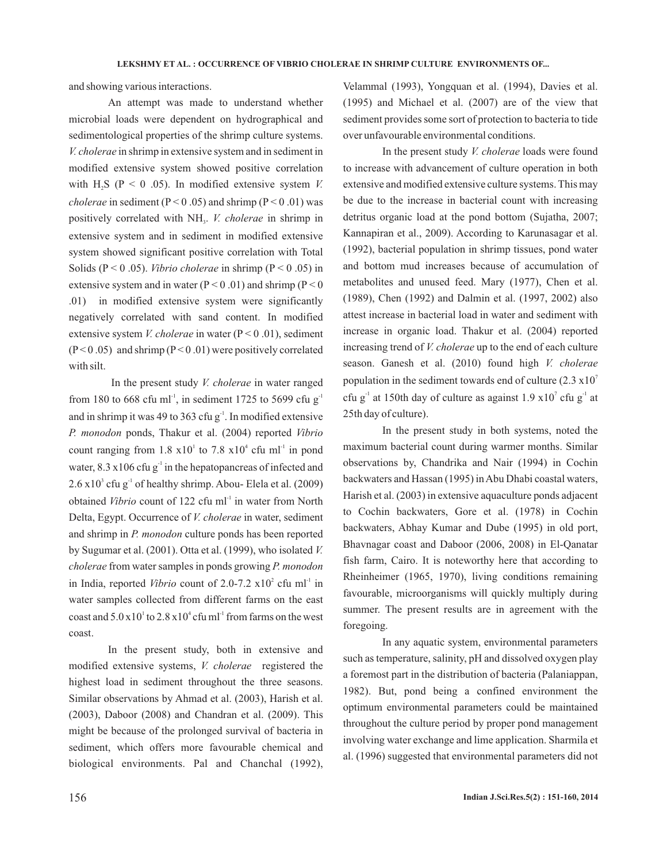and showing various interactions.

An attempt was made to understand whether microbial loads were dependent on hydrographical and sedimentological properties of the shrimp culture systems. *V. cholerae* in shrimp in extensive system and in sediment in modified extensive system showed positive correlation with  $H_2S$  ( $P < 0$  .05). In modified extensive system *V*. *cholerae* in sediment ( $P < 0.05$ ) and shrimp ( $P < 0.01$ ) was positively correlated with NH<sub>3</sub>. *V. cholerae* in shrimp in extensive system and in sediment in modified extensive system showed significant positive correlation with Total Solids ( $P < 0.05$ ). *Vibrio cholerae* in shrimp ( $P < 0.05$ ) in extensive system and in water ( $P < 0.01$ ) and shrimp ( $P < 0$ ) .01) in modified extensive system were significantly negatively correlated with sand content. In modified extensive system *V. cholerae* in water (P < 0.01), sediment  $(P<0.05)$  and shrimp  $(P<0.01)$  were positively correlated with silt.

In the present study *V. cholerae* in water ranged from 180 to 668 cfu ml<sup>-1</sup>, in sediment 1725 to 5699 cfu  $g^{-1}$ and in shrimp it was 49 to 363 cfu  $g<sup>-1</sup>$ . In modified extensive P. monodon ponds, Thakur et al. (2004) reported Vibrio count ranging from  $1.8 \times 10^{1}$  to  $7.8 \times 10^{4}$  cfu ml<sup>-1</sup> in pond water, 8.3  $x106$  cfu g<sup>-1</sup> in the hepatopancreas of infected and  $2.6 \times 10^3$  cfu g<sup>-1</sup> of healthy shrimp. Abou- Elela et al. (2009) obtained Vibrio count of 122 cfu ml<sup>-1</sup> in water from North Delta, Egypt. Occurrence of *V. cholerae* in water, sediment and shrimp in P. monodon culture ponds has been reported by Sugumar et al. (2001). Otta et al. (1999), who isolated *V.* cholerae from water samples in ponds growing P. monodon in India, reported *Vibrio* count of 2.0-7.2  $\times 10^2$  cfu ml<sup>-1</sup> in water samples collected from different farms on the east coast and  $5.0 \times 10^{1}$  to  $2.8 \times 10^{4}$  cfu ml<sup>-1</sup> from farms on the west coast.

In the present study, both in extensive and modified extensive systems, *V. cholerae* registered the highest load in sediment throughout the three seasons. Similar observations by Ahmad et al. (2003), Harish et al. (2003), Daboor (2008) and Chandran et al. (2009). This might be because of the prolonged survival of bacteria in sediment, which offers more favourable chemical and biological environments. Pal and Chanchal (1992),

Velammal (1993), Yongquan et al. (1994), Davies et al. (1995) and Michael et al. (2007) are of the view that sediment provides some sort of protection to bacteria to tide over unfavourable environmental conditions.

In the present study *V. cholerae* loads were found to increase with advancement of culture operation in both extensive and modified extensive culture systems. This may be due to the increase in bacterial count with increasing detritus organic load at the pond bottom (Sujatha, 2007; Kannapiran et al., 2009). According to Karunasagar et al. (1992), bacterial population in shrimp tissues, pond water and bottom mud increases because of accumulation of metabolites and unused feed. Mary (1977), Chen et al. (1989), Chen (1992) and Dalmin et al. (1997, 2002) also attest increase in bacterial load in water and sediment with increase in organic load. Thakur et al. (2004) reported increasing trend of *V. cholerae* up to the end of each culture season. Ganesh et al. (2010) found high *V. cholerae* population in the sediment towards end of culture  $(2.3 \times 10^7)$ cfu g<sup>-1</sup> at 150th day of culture as against 1.9  $\times 10^{7}$  cfu g<sup>-1</sup> at 25th day of culture).

In the present study in both systems, noted the maximum bacterial count during warmer months. Similar observations by, Chandrika and Nair (1994) in Cochin backwaters and Hassan (1995) inAbu Dhabi coastal waters, Harish et al. (2003) in extensive aquaculture ponds adjacent to Cochin backwaters, Gore et al. (1978) in Cochin backwaters, Abhay Kumar and Dube (1995) in old port, Bhavnagar coast and Daboor (2006, 2008) in El-Qanatar fish farm, Cairo. It is noteworthy here that according to Rheinheimer (1965, 1970), living conditions remaining favourable, microorganisms will quickly multiply during summer. The present results are in agreement with the foregoing.

In any aquatic system, environmental parameters such as temperature, salinity, pH and dissolved oxygen play a foremost part in the distribution of bacteria (Palaniappan, 1982). But, pond being a confined environment the optimum environmental parameters could be maintained throughout the culture period by proper pond management involving water exchange and lime application. Sharmila et al. (1996) suggested that environmental parameters did not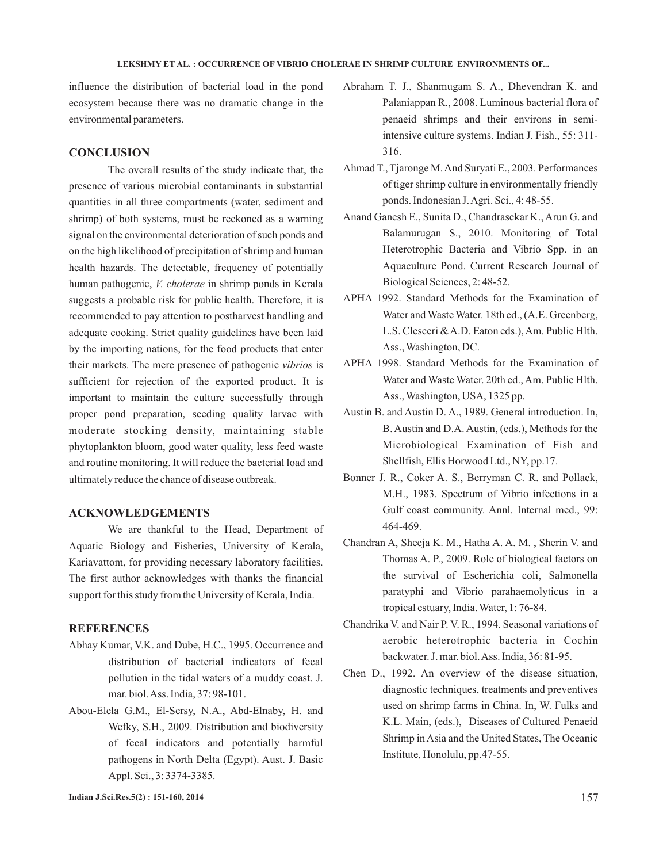### LEKSHMY ET AL. : OCCURRENCE OF VIBRIO CHOLERAE IN SHRIMP CULTURE ENVIRONMENTS OF...

influence the distribution of bacterial load in the pond ecosystem because there was no dramatic change in the environmental parameters.

### **CONCLUSION**

The overall results of the study indicate that, the presence of various microbial contaminants in substantial quantities in all three compartments (water, sediment and shrimp) of both systems, must be reckoned as a warning signal on the environmental deterioration of such ponds and on the high likelihood of precipitation of shrimp and human health hazards. The detectable, frequency of potentially human pathogenic, *V. cholerae* in shrimp ponds in Kerala suggests a probable risk for public health. Therefore, it is recommended to pay attention to postharvest handling and adequate cooking. Strict quality guidelines have been laid by the importing nations, for the food products that enter their markets. The mere presence of pathogenic *vibrios* is sufficient for rejection of the exported product. It is important to maintain the culture successfully through proper pond preparation, seeding quality larvae with moderate stocking density, maintaining stable phytoplankton bloom, good water quality, less feed waste and routine monitoring. It will reduce the bacterial load and ultimately reduce the chance of disease outbreak.

### **ACKNOWLEDGEMENTS**

We are thankful to the Head, Department of Aquatic Biology and Fisheries, University of Kerala, Kariavattom, for providing necessary laboratory facilities. The first author acknowledges with thanks the financial support for this study from the University of Kerala, India.

## **REFERENCES**

- Abhay Kumar, V.K. and Dube, H.C., 1995. Occurrence and distribution of bacterial indicators of fecal pollution in the tidal waters of a muddy coast. J. mar. biol.Ass. India, 37: 98-101.
- Abou-Elela G.M., El-Sersy, N.A., Abd-Elnaby, H. and Wefky, S.H., 2009. Distribution and biodiversity of fecal indicators and potentially harmful pathogens in North Delta (Egypt). Aust. J. Basic Appl. Sci., 3: 3374-3385.
- Abraham T. J., Shanmugam S. A., Dhevendran K. and Palaniappan R., 2008. Luminous bacterial flora of penaeid shrimps and their environs in semiintensive culture systems. Indian J. Fish., 55: 311- 316.
- Ahmad T., Tjaronge M.And Suryati E., 2003. Performances of tiger shrimp culture in environmentally friendly ponds. Indonesian J.Agri. Sci., 4: 48-55.
- Anand Ganesh E., Sunita D., Chandrasekar K., Arun G. and Balamurugan S., 2010. Monitoring of Total Heterotrophic Bacteria and Vibrio Spp. in an Aquaculture Pond. Current Research Journal of Biological Sciences, 2: 48-52.
- APHA 1992. Standard Methods for the Examination of Water and Waste Water. 18th ed., (A.E. Greenberg, L.S. Clesceri &A.D. Eaton eds.),Am. Public Hlth. Ass., Washington, DC.
- APHA 1998. Standard Methods for the Examination of Water and Waste Water. 20th ed., Am. Public Hlth. Ass., Washington, USA, 1325 pp.
- Austin B. and Austin D. A., 1989. General introduction. In, B. Austin and D.A. Austin, (eds.), Methods for the Microbiological Examination of Fish and Shellfish, Ellis Horwood Ltd., NY, pp.17.
- Bonner J. R., Coker A. S., Berryman C. R. and Pollack, M.H., 1983. Spectrum of Vibrio infections in a Gulf coast community. Annl. Internal med., 99: 464-469.
- Chandran A, Sheeja K. M., Hatha A. A. M. , Sherin V. and Thomas A. P., 2009. Role of biological factors on the survival of Escherichia coli, Salmonella paratyphi and Vibrio parahaemolyticus in a tropical estuary, India. Water, 1: 76-84.
- Chandrika V. and Nair P. V. R., 1994. Seasonal variations of aerobic heterotrophic bacteria in Cochin backwater. J. mar. biol.Ass. India, 36: 81-95.
- Chen D., 1992. An overview of the disease situation, diagnostic techniques, treatments and preventives used on shrimp farms in China. In, W. Fulks and K.L. Main, (eds.), Diseases of Cultured Penaeid Shrimp inAsia and the United States, The Oceanic Institute, Honolulu, pp.47-55.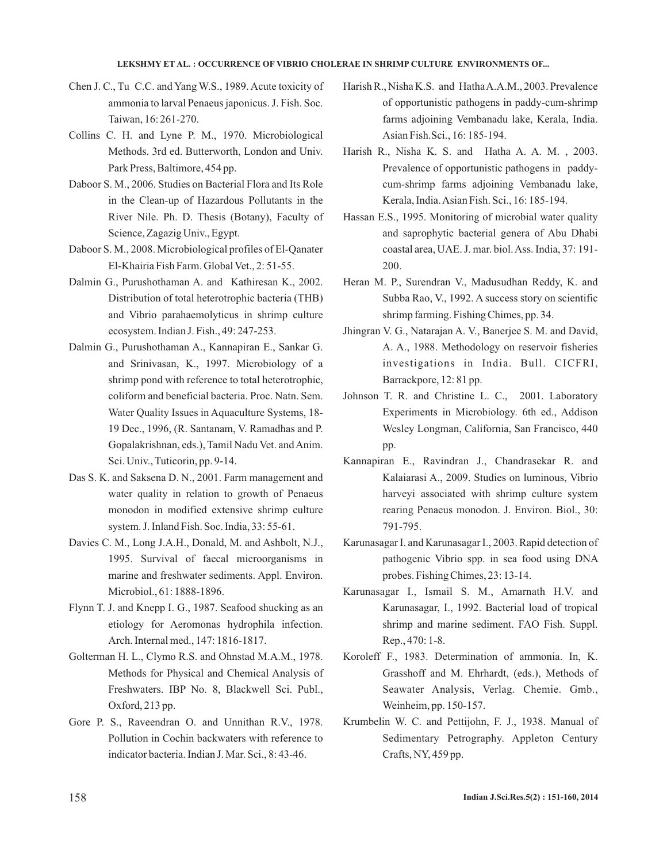#### LEKSHMY ET AL.: OCCURRENCE OF VIBRIO CHOLERAE IN SHRIMP CULTURE ENVIRONMENTS OF...

- Chen J. C., Tu C.C. and Yang W.S., 1989. Acute toxicity of ammonia to larval Penaeus japonicus. J. Fish. Soc. Taiwan, 16: 261-270.
- Collins C. H. and Lyne P. M., 1970. Microbiological Methods. 3rd ed. Butterworth, London and Univ. Park Press, Baltimore, 454 pp.
- Daboor S. M., 2006. Studies on Bacterial Flora and Its Role in the Clean-up of Hazardous Pollutants in the River Nile. Ph. D. Thesis (Botany), Faculty of Science, Zagazig Univ., Egypt.
- Daboor S. M., 2008. Microbiological profiles of El-Qanater El-Khairia Fish Farm. Global Vet., 2: 51-55.
- Dalmin G., Purushothaman A. and Kathiresan K., 2002. Distribution of total heterotrophic bacteria (THB) and Vibrio parahaemolyticus in shrimp culture ecosystem. Indian J. Fish., 49: 247-253.
- Dalmin G., Purushothaman A., Kannapiran E., Sankar G. and Srinivasan, K., 1997. Microbiology of a shrimp pond with reference to total heterotrophic, coliform and beneficial bacteria. Proc. Natn. Sem. Water Quality Issues in Aquaculture Systems, 18- 19 Dec., 1996, (R. Santanam, V. Ramadhas and P. Gopalakrishnan, eds.), Tamil Nadu Vet. andAnim. Sci. Univ., Tuticorin, pp. 9-14.
- Das S. K. and Saksena D. N., 2001. Farm management and water quality in relation to growth of Penaeus monodon in modified extensive shrimp culture system. J. Inland Fish. Soc. India, 33: 55-61.
- Davies C. M., Long J.A.H., Donald, M. and Ashbolt, N.J., 1995. Survival of faecal microorganisms in marine and freshwater sediments. Appl. Environ. Microbiol., 61: 1888-1896.
- Flynn T. J. and Knepp I. G., 1987. Seafood shucking as an etiology for Aeromonas hydrophila infection. Arch. Internal med., 147: 1816-1817.
- Golterman H. L., Clymo R.S. and Ohnstad M.A.M., 1978. Methods for Physical and Chemical Analysis of Freshwaters. IBP No. 8, Blackwell Sci. Publ., Oxford, 213 pp.
- Gore P. S., Raveendran O. and Unnithan R.V., 1978. Pollution in Cochin backwaters with reference to indicator bacteria. Indian J. Mar. Sci., 8: 43-46.
- Harish R., Nisha K.S. and HathaA.A.M., 2003. Prevalence of opportunistic pathogens in paddy-cum-shrimp farms adjoining Vembanadu lake, Kerala, India. Asian Fish.Sci., 16: 185-194.
- Harish R., Nisha K. S. and Hatha A. A. M. , 2003. Prevalence of opportunistic pathogens in paddycum-shrimp farms adjoining Vembanadu lake, Kerala, India.Asian Fish. Sci., 16: 185-194.
- Hassan E.S., 1995. Monitoring of microbial water quality and saprophytic bacterial genera of Abu Dhabi coastal area, UAE. J. mar. biol.Ass. India, 37: 191- 200.
- Heran M. P., Surendran V., Madusudhan Reddy, K. and Subba Rao, V., 1992. A success story on scientific shrimp farming. Fishing Chimes, pp. 34.
- Jhingran V. G., Natarajan A. V., Banerjee S. M. and David, A. A., 1988. Methodology on reservoir fisheries investigations in India. Bull. CICFRI, Barrackpore, 12: 81 pp.
- Johnson T. R. and Christine L. C., 2001. Laboratory Experiments in Microbiology. 6th ed., Addison Wesley Longman, California, San Francisco, 440 pp.
- Kannapiran E., Ravindran J., Chandrasekar R. and Kalaiarasi A., 2009. Studies on luminous, Vibrio harveyi associated with shrimp culture system rearing Penaeus monodon. J. Environ. Biol., 30: 791-795.
- Karunasagar I. and Karunasagar I., 2003. Rapid detection of pathogenic Vibrio spp. in sea food using DNA probes. Fishing Chimes, 23: 13-14.
- Karunasagar I., Ismail S. M., Amarnath H.V. and Karunasagar, I., 1992. Bacterial load of tropical shrimp and marine sediment. FAO Fish. Suppl. Rep., 470: 1-8.
- Koroleff F., 1983. Determination of ammonia. In, K. Grasshoff and M. Ehrhardt, (eds.), Methods of Seawater Analysis, Verlag. Chemie. Gmb., Weinheim, pp. 150-157.
- Krumbelin W. C. and Pettijohn, F. J., 1938. Manual of Sedimentary Petrography. Appleton Century Crafts, NY, 459 pp.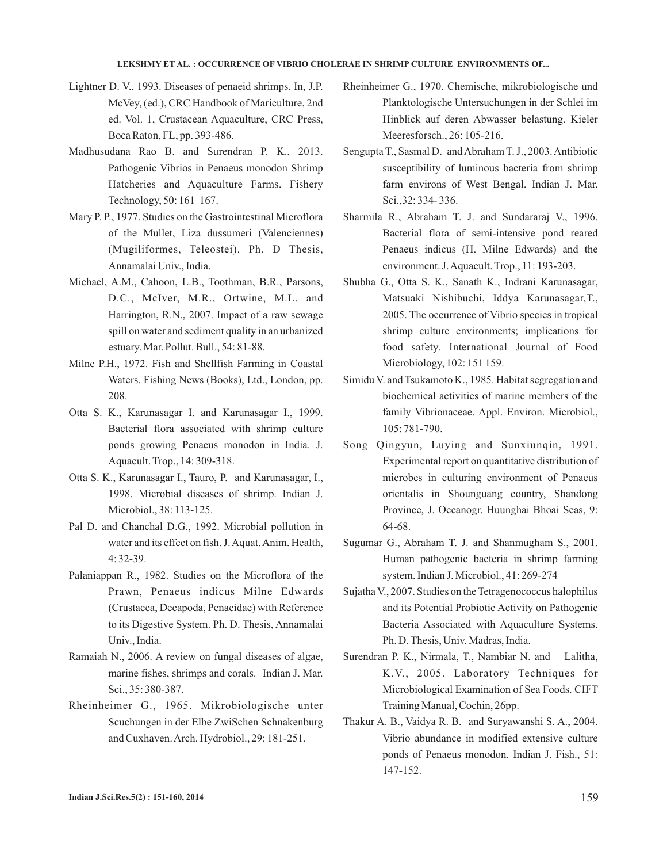#### LEKSHMY ET AL.: OCCURRENCE OF VIBRIO CHOLERAE IN SHRIMP CULTURE ENVIRONMENTS OF...

- Lightner D. V., 1993. Diseases of penaeid shrimps. In, J.P. McVey, (ed.), CRC Handbook of Mariculture, 2nd ed. Vol. 1, Crustacean Aquaculture, CRC Press, Boca Raton, FL, pp. 393-486.
- Madhusudana Rao B. and Surendran P. K., 2013. Pathogenic Vibrios in Penaeus monodon Shrimp Hatcheries and Aquaculture Farms. Fishery Technology, 50: 161 167.
- Mary P. P., 1977. Studies on the Gastrointestinal Microflora of the Mullet, Liza dussumeri (Valenciennes) (Mugiliformes, Teleostei). Ph. D Thesis, Annamalai Univ., India.
- Michael, A.M., Cahoon, L.B., Toothman, B.R., Parsons, D.C., McIver, M.R., Ortwine, M.L. and Harrington, R.N., 2007. Impact of a raw sewage spill on water and sediment quality in an urbanized estuary. Mar. Pollut. Bull., 54: 81-88.
- Milne P.H., 1972. Fish and Shellfish Farming in Coastal Waters. Fishing News (Books), Ltd., London, pp. 208.
- Otta S. K., Karunasagar I. and Karunasagar I., 1999. Bacterial flora associated with shrimp culture ponds growing Penaeus monodon in India. J. Aquacult. Trop., 14: 309-318.
- Otta S. K., Karunasagar I., Tauro, P. and Karunasagar, I., 1998. Microbial diseases of shrimp. Indian J. Microbiol., 38: 113-125.
- Pal D. and Chanchal D.G., 1992. Microbial pollution in water and its effect on fish. J.Aquat.Anim. Health, 4: 32-39.
- Palaniappan R., 1982. Studies on the Microflora of the Prawn, Penaeus indicus Milne Edwards (Crustacea, Decapoda, Penaeidae) with Reference to its Digestive System. Ph. D. Thesis, Annamalai Univ., India.
- Ramaiah N., 2006. A review on fungal diseases of algae, marine fishes, shrimps and corals. Indian J. Mar. Sci., 35: 380-387.
- Rheinheimer G., 1965. Mikrobiologische unter Scuchungen in der Elbe ZwiSchen Schnakenburg and Cuxhaven.Arch. Hydrobiol., 29: 181-251.
- Rheinheimer G., 1970. Chemische, mikrobiologische und Planktologische Untersuchungen in der Schlei im Hinblick auf deren Abwasser belastung. Kieler Meeresforsch., 26: 105-216.
- Sengupta T., Sasmal D. andAbraham T. J., 2003.Antibiotic susceptibility of luminous bacteria from shrimp farm environs of West Bengal. Indian J. Mar. Sci.,32: 334- 336.
- Sharmila R., Abraham T. J. and Sundararaj V., 1996. Bacterial flora of semi-intensive pond reared Penaeus indicus (H. Milne Edwards) and the environment. J.Aquacult. Trop., 11: 193-203.
- Shubha G., Otta S. K., Sanath K., Indrani Karunasagar, Matsuaki Nishibuchi, Iddya Karunasagar,T., 2005. The occurrence of Vibrio species in tropical shrimp culture environments; implications for food safety. International Journal of Food Microbiology, 102: 151 159.
- Simidu V. and Tsukamoto K., 1985. Habitat segregation and biochemical activities of marine members of the family Vibrionaceae. Appl. Environ. Microbiol., 105: 781-790.
- Song Qingyun, Luying and Sunxiunqin, 1991. Experimental report on quantitative distribution of microbes in culturing environment of Penaeus orientalis in Shounguang country, Shandong Province, J. Oceanogr. Huunghai Bhoai Seas, 9: 64-68.
- Sugumar G., Abraham T. J. and Shanmugham S., 2001. Human pathogenic bacteria in shrimp farming system. Indian J. Microbiol., 41: 269-274
- Sujatha V., 2007. Studies on the Tetragenococcus halophilus and its Potential Probiotic Activity on Pathogenic Bacteria Associated with Aquaculture Systems. Ph. D. Thesis, Univ. Madras, India.
- Surendran P. K., Nirmala, T., Nambiar N. and Lalitha, K.V., 2005. Laboratory Techniques for Microbiological Examination of Sea Foods. CIFT Training Manual, Cochin, 26pp.
- Thakur A. B., Vaidya R. B. and Suryawanshi S. A., 2004. Vibrio abundance in modified extensive culture ponds of Penaeus monodon. Indian J. Fish., 51: 147-152.